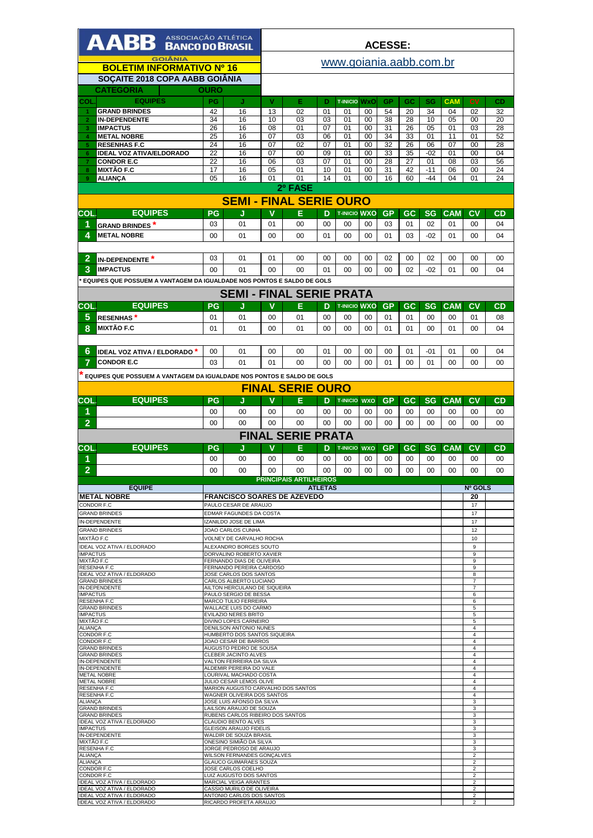| AABB ASSOCIAÇÃO ATLÉTICA                                               |                 |                                                                  | <b>ACESSE:</b> |                               |                |                           |            |           |          |           |                  |                                  |           |
|------------------------------------------------------------------------|-----------------|------------------------------------------------------------------|----------------|-------------------------------|----------------|---------------------------|------------|-----------|----------|-----------|------------------|----------------------------------|-----------|
| <b>GOIÂNIA</b><br><b>BOLETIM INFORMATIVO Nº 16</b>                     |                 |                                                                  |                | www.goiania.aabb.com.br       |                |                           |            |           |          |           |                  |                                  |           |
|                                                                        |                 |                                                                  |                |                               |                |                           |            |           |          |           |                  |                                  |           |
| SOÇAITE 2018 COPA AABB GOIÂNIA                                         |                 |                                                                  |                |                               |                |                           |            |           |          |           |                  |                                  |           |
| <b>CATEGORIA</b>                                                       | <b>OURO</b>     |                                                                  |                |                               |                |                           |            |           |          |           |                  |                                  |           |
| <b>EQUIPES</b><br>COL<br><b>GRAND BRINDES</b>                          | <b>PG</b><br>42 | J<br>16                                                          | v<br>13        | Е<br>02                       | D<br>01        | <b>T-INICIO WXO</b><br>01 | 00         | GP<br>54  | GC<br>20 | SG<br>34  | <b>CAM</b><br>04 | c <sub>V</sub><br>02             | CD<br>32  |
| $\overline{2}$<br><b>IN-DEPENDENTE</b>                                 | 34              | 16                                                               | 10             | 03                            | 03             | 01                        | 00         | 38        | 28       | 10        | 05               | 00                               | 20        |
| <b>IMPACTUS</b><br>3                                                   | 26              | 16                                                               | 08             | 01                            | 07             | 01                        | 00         | 31        | 26       | 05        | 01               | 03                               | 28        |
| <b>METAL NOBRE</b><br>4                                                | 25              | 16                                                               | 07             | 03                            | 06             | 01                        | 00         | 34        | 33       | 01        | 11               | 01                               | 52        |
| <b>RESENHAS F.C</b><br>5<br><b>IDEAL VOZ ATIVA/ELDORADO</b><br>6       | 24<br>22        | 16<br>16                                                         | 07<br>07       | 02<br>00                      | 07<br>09       | 01<br>01                  | 00<br>00   | 32<br>33  | 26<br>35 | 06<br>-02 | 07<br>01         | 00<br>00                         | 28<br>04  |
| $\overline{7}$<br><b>CONDOR E.C</b>                                    | 22              | 16                                                               | 06             | 03                            | 07             | 01                        | 00         | 28        | 27       | 01        | 08               | 03                               | 56        |
| <b>MIXTÃO F.C</b><br>8                                                 | 17              | 16                                                               | 05             | 01                            | 10             | 01                        | 00         | 31        | 42       | $-11$     | 06               | 00                               | 24        |
| 9<br><b>ALIANCA</b>                                                    | 05              | 16                                                               | 01             | 01                            | 14             | 0 <sub>1</sub>            | 00         | 16        | 60       | -44       | 04               | 01                               | 24        |
| 2º FASE<br><b>SEMI - FINAL SERIE OURO</b>                              |                 |                                                                  |                |                               |                |                           |            |           |          |           |                  |                                  |           |
|                                                                        |                 |                                                                  |                |                               |                |                           |            |           |          |           |                  |                                  |           |
| <b>EQUIPES</b><br>COL.                                                 | <b>PG</b>       | J                                                                | v              | Е                             | D              | <b>T-INICIO WXO</b>       |            | <b>GP</b> | GC       | <b>SG</b> | <b>CAM</b>       | c <sub>V</sub>                   | <b>CD</b> |
| 1<br><b>GRAND BRINDES</b> *                                            | 03              | 01                                                               | 01             | 00                            | 00             | 00                        | 00         | 03        | 01       | 02        | 01               | 00                               | 04        |
| 4<br><b>METAL NOBRE</b>                                                | 00              | 01                                                               | 00             | $00 \,$                       | 01             | $00 \,$                   | 00         | 01        | 03       | $-02$     | 01               | 00                               | 04        |
|                                                                        |                 |                                                                  |                |                               |                |                           |            |           |          |           |                  |                                  |           |
| $\overline{2}$<br>IN-DEPENDENTE <sup>*</sup>                           | 03              | 01                                                               | 01             | 00                            | 00             | 00                        | 00         | 02        | 00       | 02        | 00               | 00                               | 00        |
| 3<br><b>IMPACTUS</b>                                                   | $00 \,$         | 01                                                               | $00 \,$        | 00                            | 01             | $00 \,$                   | $00 \,$    | $00 \,$   | 02       | $-02$     | 01               | 00                               | 04        |
| EQUIPES QUE POSSUEM A VANTAGEM DA IGUALDADE NOS PONTOS E SALDO DE GOLS |                 |                                                                  |                |                               |                |                           |            |           |          |           |                  |                                  |           |
|                                                                        |                 | <b>SEMI - FINAL SERIE PRATA</b>                                  |                |                               |                |                           |            |           |          |           |                  |                                  |           |
| <b>EQUIPES</b><br>COL                                                  | PG              | J                                                                | v              | Е                             | D              | <b>T-INICIO WXO</b>       |            | <b>GP</b> | GC       | <b>SG</b> | <b>CAM</b>       | CV                               | <b>CD</b> |
| 5<br><b>RESENHAS</b> *                                                 | 01              | 01                                                               | 00             | 01                            | 00             | 00                        | 00         | 01        | 01       | 00        | 00               | 01                               | 08        |
| 8<br>MIXTÃO F.C                                                        | 01              | 01                                                               | 00             | 01                            | 00             | 00                        | 00         | 01        | 01       | 00        | 01               | 00                               | 04        |
|                                                                        |                 |                                                                  |                |                               |                |                           |            |           |          |           |                  |                                  |           |
|                                                                        |                 |                                                                  |                |                               |                |                           |            |           |          |           |                  |                                  |           |
| 6<br><b>IDEAL VOZ ATIVA / ELDORADO *</b>                               | 00              | 01                                                               | 00             | 00                            | 01             | 00                        | 00         | 00        | 01       | -01       | 01               | 00                               | 04        |
| 7<br><b>CONDOR E.C</b>                                                 | 03              | 01                                                               | 01             | $00 \,$                       | $00 \,$        | 00                        | $00 \,$    | 01        | 00       | 01        | 00               | 00                               | 00        |
| EQUIPES QUE POSSUEM A VANTAGEM DA IGUALDADE NOS PONTOS E SALDO DE GOLS |                 |                                                                  |                |                               |                |                           |            |           |          |           |                  |                                  |           |
|                                                                        |                 |                                                                  |                | <b>FINAL SERIE OURO</b>       |                |                           |            |           |          |           |                  |                                  |           |
| <b>EQUIPES</b><br>COL                                                  | PG              | J                                                                | v              | E                             | D              | <b>T-INICIO</b>           | <b>WXO</b> | <b>GP</b> | GC       | <b>SG</b> | <b>CAM</b>       | CV                               | <b>CD</b> |
| 1                                                                      | $00 \,$         | 00                                                               | 00             | 00                            | 00             | 00                        | 00         | 00        | 00       | 00        | 00               | 00                               | 00        |
| $\overline{2}$                                                         | 00              | 00                                                               | 00             | 00                            | 00             | 00                        | 00         | 00        | 00       | 00        | 00               | 00                               | 00        |
|                                                                        |                 |                                                                  |                | <b>FINAL SERIE PRATA</b>      |                |                           |            |           |          |           |                  |                                  |           |
| <b>EQUIPES</b><br>COL                                                  | PG              | J                                                                | v              | Е                             | D              | <b>T-INICIO</b>           | <b>WXO</b> | GP        | GC       | SG        | <b>CAM</b>       | CV                               | CD        |
| 1                                                                      | 00              | 00                                                               | 00             |                               |                |                           | 00         |           | 00       | 00        |                  |                                  |           |
|                                                                        |                 |                                                                  |                |                               |                |                           |            |           |          |           |                  |                                  |           |
|                                                                        |                 |                                                                  |                | 00                            | 00             | 00                        |            | 00        |          |           | 00               | 00                               | 00        |
| $\overline{2}$                                                         | 00              | 00                                                               | 00             | 00                            | 00             | 00                        | 00         | 00        | 00       | 00        | 00               | 00                               | 00        |
| <b>EQUIPE</b>                                                          |                 |                                                                  |                | <b>PRINCIPAIS ARTILHEIROS</b> | <b>ATLETAS</b> |                           |            |           |          |           |                  | Nº GOLS                          |           |
| <b>METAL NOBRE</b>                                                     |                 | <b>FRANCISCO SOARES DE AZEVEDO</b>                               |                |                               |                |                           |            |           |          |           |                  | 20                               |           |
| CONDOR F.C                                                             |                 | PAULO CESAR DE ARAUJO                                            |                |                               |                |                           |            |           |          |           |                  | 17                               |           |
| <b>GRAND BRINDES</b><br><b>IN-DEPENDENTE</b>                           |                 | EDMAR FAGUNDES DA COSTA<br>IZANILDO JOSE DE LIMA                 |                |                               |                |                           |            |           |          |           |                  | 17<br>17                         |           |
| <b>GRAND BRINDES</b>                                                   |                 | JOAO CARLOS CUNHA                                                |                |                               |                |                           |            |           |          |           |                  | 12                               |           |
| MIXTÃO F.C                                                             |                 | VOLNEY DE CARVALHO ROCHA                                         |                |                               |                |                           |            |           |          |           |                  | 10                               |           |
| IDEAL VOZ ATIVA / ELDORADO<br><b>IMPACTUS</b>                          |                 | ALEXANDRO BORGES SOUTO<br>DORVALINO ROBERTO XAVIER               |                |                               |                |                           |            |           |          |           |                  | 9<br>9                           |           |
| MIXTÃO F.C                                                             |                 | FERNANDO DIAS DE OLIVEIRA                                        |                |                               |                |                           |            |           |          |           |                  | 9                                |           |
| <b>RESENHA F.C</b><br><b>IDEAL VOZ ATIVA / ELDORADO</b>                |                 | FERNANDO PEREIRA CARDOSO<br>JOSE CARLOS DOS SANTOS               |                |                               |                |                           |            |           |          |           |                  | 9<br>8                           |           |
| <b>GRAND BRINDES</b><br><b>IN-DEPENDENTE</b>                           |                 | CARLOS ALBERTO LUCIANO<br>AILTON HERCULANO DE SIQUEIRA           |                |                               |                |                           |            |           |          |           |                  | 7<br>7                           |           |
| <b>IMPACTUS</b>                                                        |                 | PAULO SERGIO DE BESSA                                            |                |                               |                |                           |            |           |          |           |                  | 6                                |           |
| <b>RESENHA F.C</b><br><b>GRAND BRINDES</b>                             |                 | MARCO TULIO FERREIRA<br>WALLACE LUIS DO CARMO                    |                |                               |                |                           |            |           |          |           |                  | 6<br>5                           |           |
| <b>IMPACTUS</b>                                                        |                 | EVILAZIO NERES BRITO                                             |                |                               |                |                           |            |           |          |           |                  | 5                                |           |
| MIXTÃO F.C<br><b>ALIANÇA</b>                                           |                 | DIVINO LOPES CARNEIRO<br>DENILSON ANTONIO NUNES                  |                |                               |                |                           |            |           |          |           |                  | 5<br>$\overline{4}$              |           |
| CONDOR F.C                                                             |                 | HUMBERTO DOS SANTOS SIQUEIRA                                     |                |                               |                |                           |            |           |          |           |                  | $\overline{4}$<br>$\overline{4}$ |           |
| CONDOR F.C<br><b>GRAND BRINDES</b>                                     |                 | JOAO CESAR DE BARROS<br>AUGUSTO PEDRO DE SOUSA                   |                |                               |                |                           |            |           |          |           |                  | 4                                |           |
| <b>GRAND BRINDES</b><br>IN-DEPENDENTE                                  |                 | CLEBER JACINTO ALVES<br>VALTON FERREIRA DA SILVA                 |                |                               |                |                           |            |           |          |           |                  | 4<br>$\overline{4}$              |           |
| <b>IN-DEPENDENTE</b><br><b>METAL NOBRE</b>                             |                 | ALDEMIR PEREIRA DO VALE<br>LOURIVAL MACHADO COSTA                |                |                               |                |                           |            |           |          |           |                  | $\overline{4}$<br>$\overline{4}$ |           |
| <b>METAL NOBRE</b>                                                     |                 | JULIO CESAR LEMOS OLIVE                                          |                |                               |                |                           |            |           |          |           |                  | $\overline{4}$                   |           |
| <b>RESENHA F.C</b><br><b>RESENHA F.C</b>                               |                 | MARION AUGUSTO CARVALHO DOS SANTOS<br>WAGNER OLIVEIRA DOS SANTOS |                |                               |                |                           |            |           |          |           |                  | $\overline{4}$<br>$\overline{4}$ |           |
| <b>ALIANÇA</b>                                                         |                 | JOSE LUIS AFONSO DA SILVA                                        |                |                               |                |                           |            |           |          |           |                  | 3<br>3                           |           |
| <b>GRAND BRINDES</b><br><b>GRAND BRINDES</b>                           |                 | LAILSON ARAUJO DE SOUZA<br>RUBENS CARLOS RIBEIRO DOS SANTOS      |                |                               |                |                           |            |           |          |           |                  | 3                                |           |
| IDEAL VOZ ATIVA / ELDORADO<br><b>IMPACTUS</b>                          |                 | CLAUDIO BENTO ALVES<br><b>GLEISON ARAUJO FIDELIS</b>             |                |                               |                |                           |            |           |          |           |                  | 3<br>3                           |           |
| IN-DEPENDENTE                                                          |                 | WALDIR DE SOUZA BRASIL                                           |                |                               |                |                           |            |           |          |           |                  | 3                                |           |
| MIXTÃO F.C<br>RESENHA F.C                                              |                 | ONESINO SIMIÃO DA SILVA<br>JORGE PEDROSO DE ARAUJO               |                |                               |                |                           |            |           |          |           |                  | 3<br>3                           |           |
| <b>ALIANCA</b>                                                         |                 | <b>WILSON FERNANDES GONCALVES</b>                                |                |                               |                |                           |            |           |          |           |                  | $\overline{2}$                   |           |
| <b>ALIANÇA</b><br>CONDOR F.C                                           |                 | <b>GLAUCO GUIMARAES SOUZA</b><br>JOSE CARLOS COELHO              |                |                               |                |                           |            |           |          |           |                  | $\overline{2}$<br>$\overline{2}$ |           |
| CONDOR F.C<br>IDEAL VOZ ATIVA / ELDORADO                               |                 | LUIZ AUGUSTO DOS SANTOS<br>MARCIAL VEIGA ARANTES                 |                |                               |                |                           |            |           |          |           |                  | $\overline{2}$<br>$\overline{2}$ |           |
| IDEAL VOZ ATIVA / ELDORADO<br>IDEAL VOZ ATIVA / ELDORADO               |                 | CASSIO MURILO DE OLIVEIRA<br>ANTONIO CARLOS DOS SANTOS           |                |                               |                |                           |            |           |          |           |                  | $\overline{2}$<br>$\overline{2}$ |           |